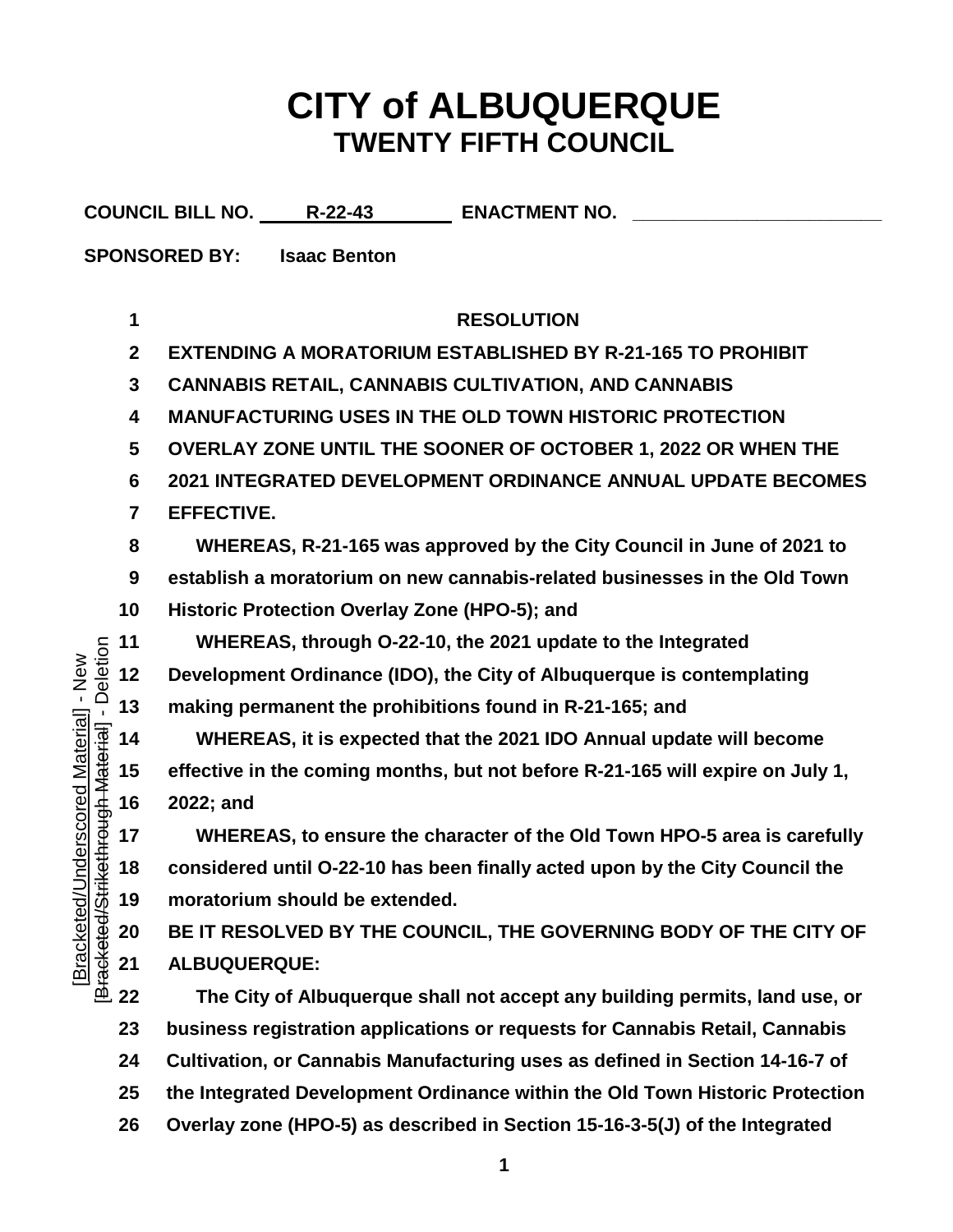## **CITY of ALBUQUERQUE TWENTY FIFTH COUNCIL**

|                                                                                                             |                  | <b>COUNCIL BILL NO. R-22-43</b><br><b>ENACTMENT NO.</b>                        |
|-------------------------------------------------------------------------------------------------------------|------------------|--------------------------------------------------------------------------------|
|                                                                                                             |                  | <b>SPONSORED BY:</b><br><b>Isaac Benton</b>                                    |
|                                                                                                             |                  |                                                                                |
|                                                                                                             | 1                | <b>RESOLUTION</b>                                                              |
|                                                                                                             | $\boldsymbol{2}$ | <b>EXTENDING A MORATORIUM ESTABLISHED BY R-21-165 TO PROHIBIT</b>              |
| - Deletion<br>$-$ New<br>nderscored Material]<br>ethrough Material<br><b>Bracketed/Stri</b><br>[Bracketed/U | $\mathbf{3}$     | <b>CANNABIS RETAIL, CANNABIS CULTIVATION, AND CANNABIS</b>                     |
|                                                                                                             | 4                | <b>MANUFACTURING USES IN THE OLD TOWN HISTORIC PROTECTION</b>                  |
|                                                                                                             | 5                | OVERLAY ZONE UNTIL THE SOONER OF OCTOBER 1, 2022 OR WHEN THE                   |
|                                                                                                             | 6                | 2021 INTEGRATED DEVELOPMENT ORDINANCE ANNUAL UPDATE BECOMES                    |
|                                                                                                             | $\overline{7}$   | <b>EFFECTIVE.</b>                                                              |
|                                                                                                             | 8                | WHEREAS, R-21-165 was approved by the City Council in June of 2021 to          |
|                                                                                                             | 9                | establish a moratorium on new cannabis-related businesses in the Old Town      |
|                                                                                                             | 10               | Historic Protection Overlay Zone (HPO-5); and                                  |
|                                                                                                             | 11               | WHEREAS, through O-22-10, the 2021 update to the Integrated                    |
|                                                                                                             | 12               | Development Ordinance (IDO), the City of Albuquerque is contemplating          |
|                                                                                                             | 13               | making permanent the prohibitions found in R-21-165; and                       |
|                                                                                                             | 14               | WHEREAS, it is expected that the 2021 IDO Annual update will become            |
|                                                                                                             | 15               | effective in the coming months, but not before R-21-165 will expire on July 1, |
|                                                                                                             | 16               | 2022; and                                                                      |
|                                                                                                             | 17               | WHEREAS, to ensure the character of the Old Town HPO-5 area is carefully       |
|                                                                                                             | 18               | considered until O-22-10 has been finally acted upon by the City Council the   |
|                                                                                                             | 19               | moratorium should be extended.                                                 |
|                                                                                                             | 20               | BE IT RESOLVED BY THE COUNCIL, THE GOVERNING BODY OF THE CITY OF               |
|                                                                                                             | 21               | ALBUQUERQUE:                                                                   |
|                                                                                                             | 22               | The City of Albuquerque shall not accept any building permits, land use, or    |
|                                                                                                             | 23               | business registration applications or requests for Cannabis Retail, Cannabis   |
|                                                                                                             | 24               | Cultivation, or Cannabis Manufacturing uses as defined in Section 14-16-7 of   |
|                                                                                                             | 25               | the Integrated Development Ordinance within the Old Town Historic Protection   |

**Overlay zone (HPO-5) as described in Section 15-16-3-5(J) of the Integrated**